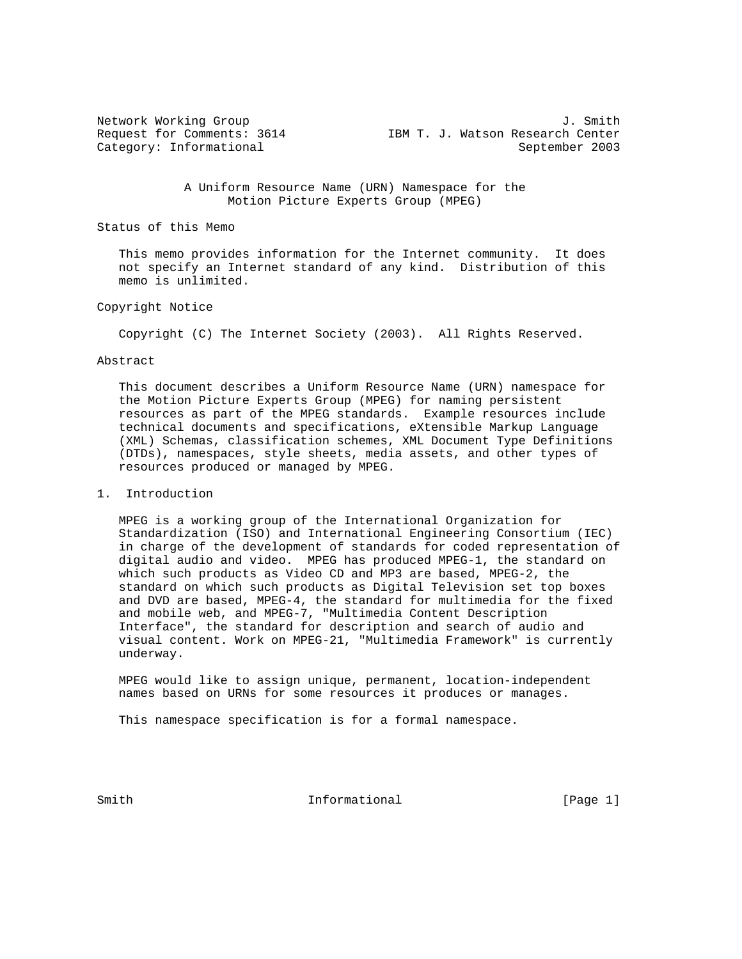| Network Working Group      |  |  |                                  | J. Smith |
|----------------------------|--|--|----------------------------------|----------|
| Request for Comments: 3614 |  |  | IBM T. J. Watson Research Center |          |
| Category: Informational    |  |  | September 2003                   |          |

 A Uniform Resource Name (URN) Namespace for the Motion Picture Experts Group (MPEG)

Status of this Memo

 This memo provides information for the Internet community. It does not specify an Internet standard of any kind. Distribution of this memo is unlimited.

## Copyright Notice

Copyright (C) The Internet Society (2003). All Rights Reserved.

### Abstract

 This document describes a Uniform Resource Name (URN) namespace for the Motion Picture Experts Group (MPEG) for naming persistent resources as part of the MPEG standards. Example resources include technical documents and specifications, eXtensible Markup Language (XML) Schemas, classification schemes, XML Document Type Definitions (DTDs), namespaces, style sheets, media assets, and other types of resources produced or managed by MPEG.

### 1. Introduction

 MPEG is a working group of the International Organization for Standardization (ISO) and International Engineering Consortium (IEC) in charge of the development of standards for coded representation of digital audio and video. MPEG has produced MPEG-1, the standard on which such products as Video CD and MP3 are based, MPEG-2, the standard on which such products as Digital Television set top boxes and DVD are based, MPEG-4, the standard for multimedia for the fixed and mobile web, and MPEG-7, "Multimedia Content Description Interface", the standard for description and search of audio and visual content. Work on MPEG-21, "Multimedia Framework" is currently underway.

 MPEG would like to assign unique, permanent, location-independent names based on URNs for some resources it produces or manages.

This namespace specification is for a formal namespace.

Smith  $Informational$  [Page 1]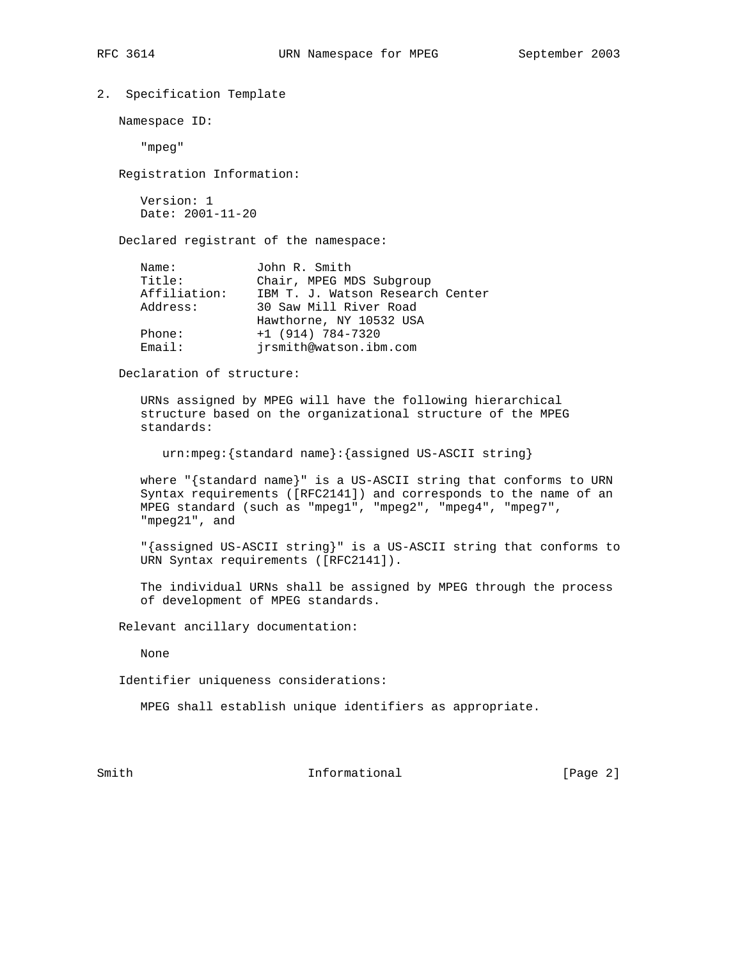```
2. Specification Template
```
Namespace ID:

"mpeg"

Registration Information:

 Version: 1 Date: 2001-11-20

Declared registrant of the namespace:

| Name:        | John R. Smith                    |
|--------------|----------------------------------|
| Title:       | Chair, MPEG MDS Subgroup         |
| Affiliation: | IBM T. J. Watson Research Center |
| Address:     | 30 Saw Mill River Road           |
|              | Hawthorne, NY 10532 USA          |
| Phone:       | $+1$ (914) 784-7320              |
| Email:       | irsmith@watson.ibm.com           |
|              |                                  |

Declaration of structure:

 URNs assigned by MPEG will have the following hierarchical structure based on the organizational structure of the MPEG standards:

urn:mpeg:{standard name}:{assigned US-ASCII string}

 where "{standard name}" is a US-ASCII string that conforms to URN Syntax requirements ([RFC2141]) and corresponds to the name of an MPEG standard (such as "mpeg1", "mpeg2", "mpeg4", "mpeg7", "mpeg21", and

 "{assigned US-ASCII string}" is a US-ASCII string that conforms to URN Syntax requirements ([RFC2141]).

 The individual URNs shall be assigned by MPEG through the process of development of MPEG standards.

Relevant ancillary documentation:

None

Identifier uniqueness considerations:

MPEG shall establish unique identifiers as appropriate.

Smith  $Informational$  [Page 2]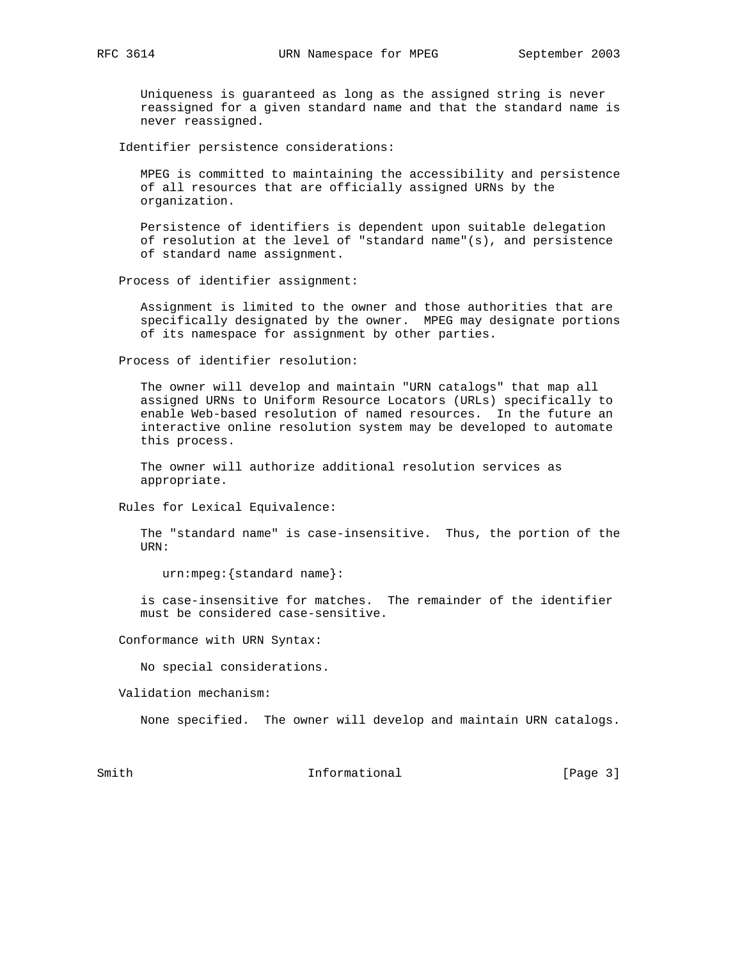Uniqueness is guaranteed as long as the assigned string is never reassigned for a given standard name and that the standard name is never reassigned.

Identifier persistence considerations:

 MPEG is committed to maintaining the accessibility and persistence of all resources that are officially assigned URNs by the organization.

 Persistence of identifiers is dependent upon suitable delegation of resolution at the level of "standard name"(s), and persistence of standard name assignment.

Process of identifier assignment:

 Assignment is limited to the owner and those authorities that are specifically designated by the owner. MPEG may designate portions of its namespace for assignment by other parties.

Process of identifier resolution:

 The owner will develop and maintain "URN catalogs" that map all assigned URNs to Uniform Resource Locators (URLs) specifically to enable Web-based resolution of named resources. In the future an interactive online resolution system may be developed to automate this process.

 The owner will authorize additional resolution services as appropriate.

Rules for Lexical Equivalence:

 The "standard name" is case-insensitive. Thus, the portion of the URN:

urn:mpeg:{standard name}:

 is case-insensitive for matches. The remainder of the identifier must be considered case-sensitive.

Conformance with URN Syntax:

No special considerations.

Validation mechanism:

None specified. The owner will develop and maintain URN catalogs.

Smith  $Informational$  [Page 3]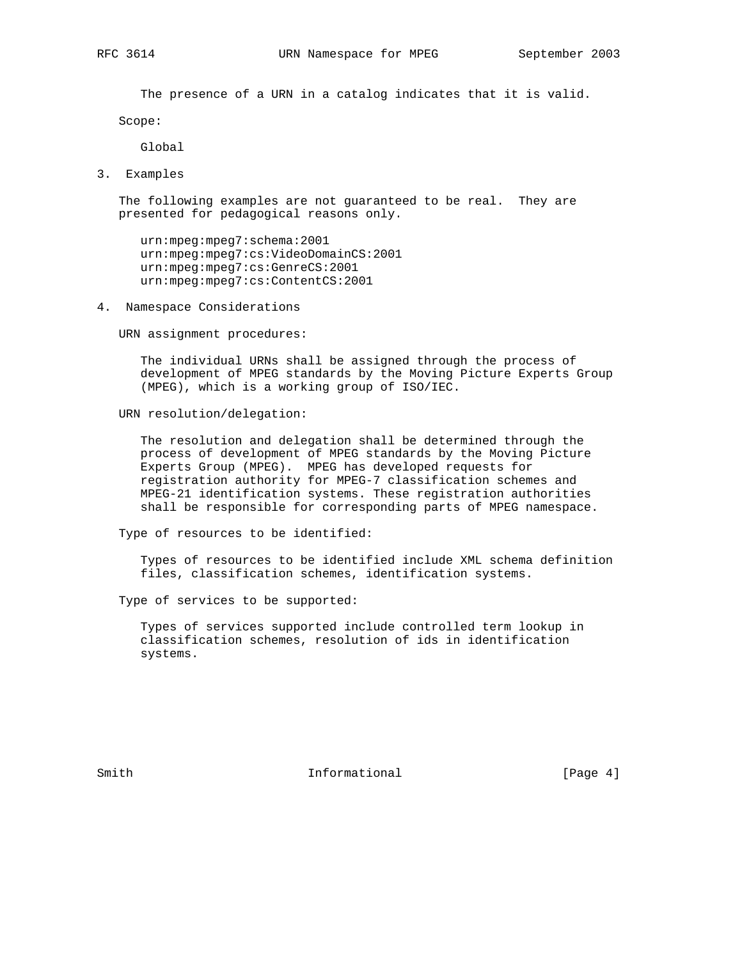The presence of a URN in a catalog indicates that it is valid.

Scope:

Global

3. Examples

 The following examples are not guaranteed to be real. They are presented for pedagogical reasons only.

 urn:mpeg:mpeg7:schema:2001 urn:mpeg:mpeg7:cs:VideoDomainCS:2001 urn:mpeg:mpeg7:cs:GenreCS:2001 urn:mpeg:mpeg7:cs:ContentCS:2001

4. Namespace Considerations

URN assignment procedures:

 The individual URNs shall be assigned through the process of development of MPEG standards by the Moving Picture Experts Group (MPEG), which is a working group of ISO/IEC.

URN resolution/delegation:

 The resolution and delegation shall be determined through the process of development of MPEG standards by the Moving Picture Experts Group (MPEG). MPEG has developed requests for registration authority for MPEG-7 classification schemes and MPEG-21 identification systems. These registration authorities shall be responsible for corresponding parts of MPEG namespace.

Type of resources to be identified:

 Types of resources to be identified include XML schema definition files, classification schemes, identification systems.

Type of services to be supported:

 Types of services supported include controlled term lookup in classification schemes, resolution of ids in identification systems.

Smith  $Informational$  [Page 4]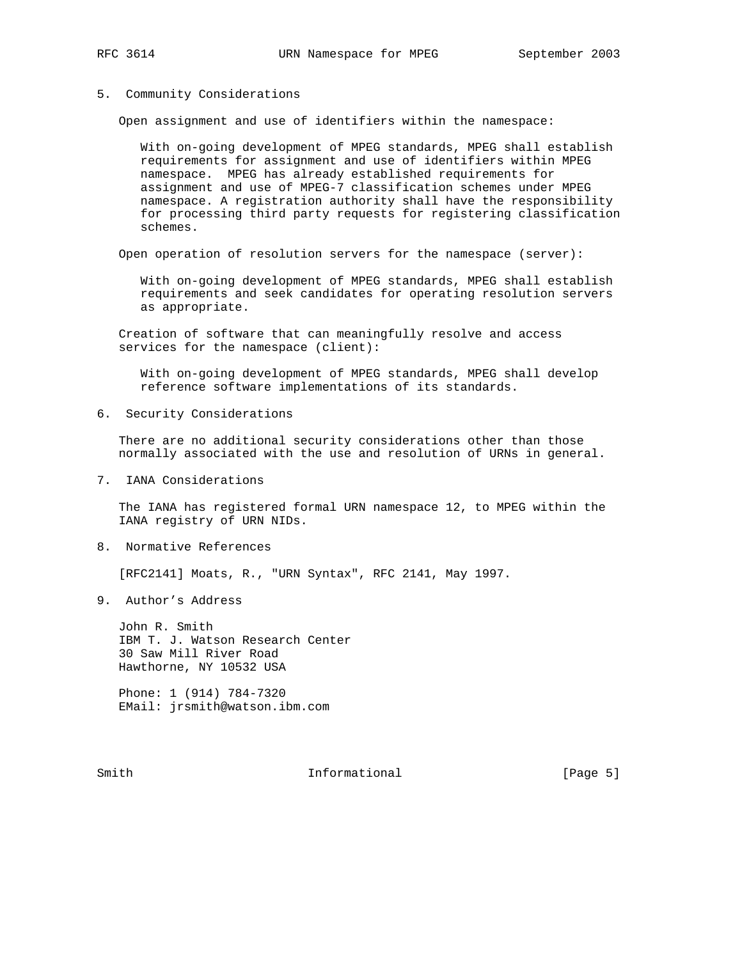# 5. Community Considerations

Open assignment and use of identifiers within the namespace:

 With on-going development of MPEG standards, MPEG shall establish requirements for assignment and use of identifiers within MPEG namespace. MPEG has already established requirements for assignment and use of MPEG-7 classification schemes under MPEG namespace. A registration authority shall have the responsibility for processing third party requests for registering classification schemes.

Open operation of resolution servers for the namespace (server):

 With on-going development of MPEG standards, MPEG shall establish requirements and seek candidates for operating resolution servers as appropriate.

 Creation of software that can meaningfully resolve and access services for the namespace (client):

 With on-going development of MPEG standards, MPEG shall develop reference software implementations of its standards.

6. Security Considerations

 There are no additional security considerations other than those normally associated with the use and resolution of URNs in general.

7. IANA Considerations

 The IANA has registered formal URN namespace 12, to MPEG within the IANA registry of URN NIDs.

8. Normative References

[RFC2141] Moats, R., "URN Syntax", RFC 2141, May 1997.

9. Author's Address

 John R. Smith IBM T. J. Watson Research Center 30 Saw Mill River Road Hawthorne, NY 10532 USA

 Phone: 1 (914) 784-7320 EMail: jrsmith@watson.ibm.com

Smith  $Informational$  [Page 5]